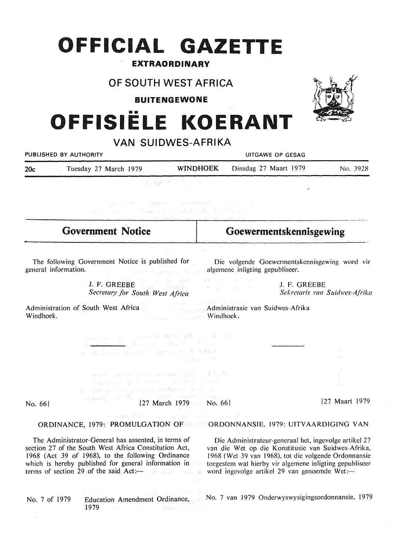## **OFFICIAL GAZETTE**

## EXTRAORDINARY

## OF SOUTH WEST AFRICA

**BUITENGEWONE** 

# **111111 OFFISIELE KOERANT**

|                          |                                                                                                                                                                                                                                                                                                                                                                                                                                                                                                                                                                                   | VAN SUIDWES-AFRIKA                                                                                                                                                                                                                                                                                                                                                   |                                                                                                                                                                                                                                                                                |                               |  |
|--------------------------|-----------------------------------------------------------------------------------------------------------------------------------------------------------------------------------------------------------------------------------------------------------------------------------------------------------------------------------------------------------------------------------------------------------------------------------------------------------------------------------------------------------------------------------------------------------------------------------|----------------------------------------------------------------------------------------------------------------------------------------------------------------------------------------------------------------------------------------------------------------------------------------------------------------------------------------------------------------------|--------------------------------------------------------------------------------------------------------------------------------------------------------------------------------------------------------------------------------------------------------------------------------|-------------------------------|--|
|                          | PUBLISHED BY AUTHORITY                                                                                                                                                                                                                                                                                                                                                                                                                                                                                                                                                            |                                                                                                                                                                                                                                                                                                                                                                      | UITGAWE OP GESAG                                                                                                                                                                                                                                                               |                               |  |
| 20c                      | Tuesday 27 March 1979                                                                                                                                                                                                                                                                                                                                                                                                                                                                                                                                                             | <b>WINDHOEK</b>                                                                                                                                                                                                                                                                                                                                                      | Dinsdag 27 Maart 1979                                                                                                                                                                                                                                                          | No. 3928                      |  |
|                          |                                                                                                                                                                                                                                                                                                                                                                                                                                                                                                                                                                                   | いほうみ インチテン                                                                                                                                                                                                                                                                                                                                                           | ۴                                                                                                                                                                                                                                                                              |                               |  |
|                          | 是, 2000 (2000) (2000) (2000) (2000) (2000) (2000) (2000) (2000) (2000) (2000)                                                                                                                                                                                                                                                                                                                                                                                                                                                                                                     | against the commence momental entry energy<br>计保护性数据 化二乙基苯乙烯 经经济保险费                                                                                                                                                                                                                                                                                                  |                                                                                                                                                                                                                                                                                |                               |  |
| <b>Government Notice</b> |                                                                                                                                                                                                                                                                                                                                                                                                                                                                                                                                                                                   |                                                                                                                                                                                                                                                                                                                                                                      | Goewermentskennisgewing                                                                                                                                                                                                                                                        |                               |  |
|                          | The following Government Notice is published for<br>general information.<br>(1) 10 元/ 10 元/ 14 元/ 15 元/ 15 元/ 15 元/ 15 元/ 16 元/ 16 元/ 16 元/ 16 元/ 16 元/ 16 元/ 16 元/ 16 元/ 16 元/                                                                                                                                                                                                                                                                                                                                                                                                   | ang panahilan                                                                                                                                                                                                                                                                                                                                                        | Die volgende Goewermentskennisgewing word vir<br>algemene inligting gepubliseer.                                                                                                                                                                                               |                               |  |
|                          | Secretary for South West Africa                                                                                                                                                                                                                                                                                                                                                                                                                                                                                                                                                   |                                                                                                                                                                                                                                                                                                                                                                      | J. F. GREEBE                                                                                                                                                                                                                                                                   | Sekretaris van Suidwes-Afrika |  |
| Windhoek.                | Administration of South West Africa Administration and Suidwes-Afrika                                                                                                                                                                                                                                                                                                                                                                                                                                                                                                             | Thursday of the Control and Part<br><b><i>Community of Windhoek</i></b> ,                                                                                                                                                                                                                                                                                            |                                                                                                                                                                                                                                                                                |                               |  |
|                          | where the contract of the contraction of $\Omega$ , where $\Omega$<br>we have been accounted to the second to the manifold                                                                                                                                                                                                                                                                                                                                                                                                                                                        | $\frac{1}{2} \int_{0}^{2\pi} \int_{0}^{2\pi} \int_{0}^{2\pi} \int_{0}^{2\pi} \int_{0}^{2\pi} \int_{0}^{2\pi} \int_{0}^{2\pi} \int_{0}^{2\pi} \int_{0}^{2\pi} \int_{0}^{2\pi} \int_{0}^{2\pi} \int_{0}^{2\pi} \int_{0}^{2\pi} \int_{0}^{2\pi} \int_{0}^{2\pi} \int_{0}^{2\pi} \int_{0}^{2\pi} \int_{0}^{2\pi} \int_{0}^{2\pi} \int_{0}^{2\pi} \int_{0}^{2\pi} \int_{$ |                                                                                                                                                                                                                                                                                |                               |  |
|                          | in the second model in the continuity and many second in the local<br>public production or good of the company and in the 1 state<br>the first of an explorance member of the extension                                                                                                                                                                                                                                                                                                                                                                                           |                                                                                                                                                                                                                                                                                                                                                                      |                                                                                                                                                                                                                                                                                |                               |  |
| No. 66                   | $\log \mathop{\rm dim}\nolimits \{ \mathop{\rm dim}\nolimits \} = \mathop{\rm dim}\nolimits \{ \mathop{\rm dim}\nolimits \{ \mathop{\rm dim}\nolimits \mathop{\rm dim}\nolimits \mathop{\rm dim}\nolimits \mathop{\rm dim}\nolimits \mathop{\rm dim}\nolimits \mathop{\rm dim}\nolimits \mathop{\rm dim}\nolimits \mathop{\rm dim}\nolimits \mathop{\rm dim}\nolimits \mathop{\rm dim}\nolimits \mathop{\rm dim}\nolimits \mathop{\rm dim}\nolimits \mathop{\rm dim}\nolimits \mathop{\rm dim}\nolimits \mathop{\rm dim}\nolimits \mathop{\rm dim}\nolimits \mathop{\rm dim}\nol$ | [27 March 1979   No. 66]                                                                                                                                                                                                                                                                                                                                             |                                                                                                                                                                                                                                                                                | [27 Maart 1979]               |  |
|                          | The contract of the Common and the control of the<br>ORDINANCE, 1979: PROMULGATION OF CONDONNANSIE, 1979: UITVAARDIGING VAN                                                                                                                                                                                                                                                                                                                                                                                                                                                       |                                                                                                                                                                                                                                                                                                                                                                      |                                                                                                                                                                                                                                                                                |                               |  |
|                          | The Administrator-General has assented, in terms of<br>section 27 of the South West Africa Constitution Act,<br>1968 (Act 39 of 1968), to the following Ordinance<br>which is hereby published for general information in<br>terms of section 29 of the said Act: and section of the said and the same                                                                                                                                                                                                                                                                            |                                                                                                                                                                                                                                                                                                                                                                      | Die Administrateur-generaal het, ingevolge artikel 27<br>van die Wet op die Konstitusie van Suidwes-Afrika,<br>1968 (Wet 39 van 1968), tot die volgende Ordonnansie<br>toegestem wat hierby vir algemene inligting gepubliseer<br>word ingevolge artikel 29 van genoemde Wet:- |                               |  |
| No. 7 of 1979            | 1979<br>$\sim 1000$ $\rm{M}_{\odot}$                                                                                                                                                                                                                                                                                                                                                                                                                                                                                                                                              | $\sim 100$ , $\rm{yr}$ for $\sim 100$ , $\rm{yr}$<br>in Brown, in an                                                                                                                                                                                                                                                                                                 | Education Amendment Ordinance, No. 7 van 1979 Onderwyswysigingsordonnansie, 1979                                                                                                                                                                                               |                               |  |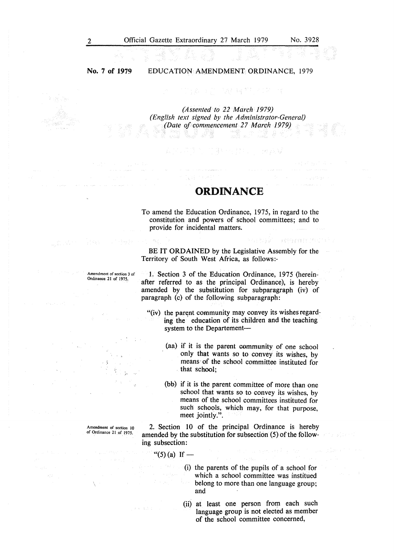## No. 7 **of 1979**

#### EDUCATION AMENDMENT ORDINANCE, 1979

高速 編 望 とばれ

*(Assented to 22 March 1979) (English text signed by the Administrator-General) (Date of commencement 27 March 1979)* 

## **ORDINANCE**

To amend the Education Ordinance, 1975, in regard to the constitution and powers of school committees; and to provide for incidental matters.

BE IT **ORDAINED** by the Legislative Assembly for the Territory of South West Africa, as follows:-

27月初度的 网络海岸灯石竹杉

Amendment of section 3 of Ordinance 21 of 1975.

1. Section 3 of the Education Ordinance, 1975 (hereinafter referred to as the principal Ordinance), is hereby amended by the substitution for subparagraph (iv) of paragraph (c) of the following subparagraph:

- "(iv) the parent community may convey its wishes regarding the education of its children and the teaching system to the Departement-
	- (aa) if it is the parent community of one school only that wants so to convey its wishes, by means· of the school committee instituted for that school;
	- (bb) if it is the parent committee of more than one school that wants so to convey its wishes, by means of the school committees instituted for such schools, which may, for that purpose, meet jointly.".

Amendment of section 10 of Ordinance 21 of 1975.

2. Section 10 of the principal Ordinance is hereby amended by the substitution for subsection (5) of the following subsection:

"(5) (a) If  $-$ 

(i) the parents of the pupils of a school for which a school committee was institued belong to more than one language group; and

(ii) at least one person from each such language group is not elected as member of the school committee concerned,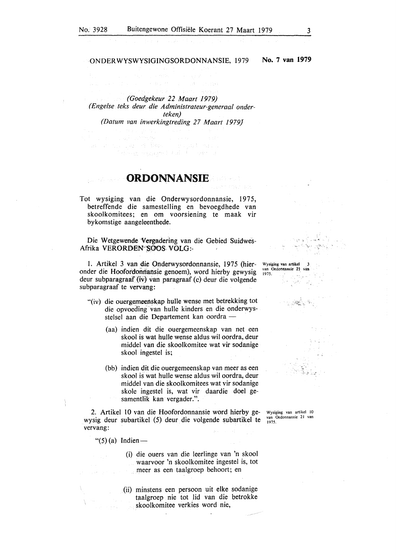#### ON DER WYSWYSIGINGS0RD0NNANSIE, 1979

No. 7 **van 1979** 

*(Goedgekeur 22 Maart 1979) (Engelse teks deur die Administrateur-generaal onderteken) (Datum van imverkingtreding 27 Maart 1979}* 

ster – San Steinige – San Steinige<br>Carl an San Steinige – San Steinige – San Steinige<br>Steinige – Forburg spage – San Steinige

## **ORDONNANSIE**

Tot wysiging van die Onderwysordonnansie, 1975, betreffende die samestelling en bevoegdhede van skoolkomitees; en om voorsiening te maak vir bykomstige aangeleenthede.

Die Wetgewende Vergadering van die Gebied Suidwes-Afrika VER0ROEN''SOOS. V0LG:-

1. Artikel 3 van die 0nderwysordonnansie, 1975 (hieronder die Hoofordonnansie genoem), word hierby gewysig deur subparagraaf (iv) van paragraaf (c) deur die volgende subparagraaf te vervang:

- "(iv) die ouergemeenskap hulle wense met betrekking tot die opvoed'ing van hulle kinders en die onderwysstelsel aan die Departement kan oordra -
	- (aa) indien dit die ouergemeenskap van net een skool is wat hulle wense aldus wil oordra, deur middel van die skoolkomitee wat vir sodanige skool ingestel is;
	- (bb) indien dit die ouergemeenskap van meer as een skool is wat hulle wense aldus wil oordra, deur middel van die skoolkomitees wat vir sodanige skole ingestel is, wat vir daardie doel gesamentlik kan vergader.".

2. Artikel 10 van die Hoofordonnansie word hierby gewysig deur subartikel (5) deur die volgende subartikel te vervang:

" $(5)$  (a) Indien-

- (i) die ouers van die leerlinge van 'n skool waarvoor 'n skoolkomitee ingestel is, tot meer as een taalgroep behoort; en
	- (ii) minstens een persoon uit elke sodanige taalgroep nie tot lid van die betrokke skoolkomitee verkies word nie,

Wysiging van artikel *3 van Ordonnansie 21 van 1975.*   $\frac{1}{\sqrt{2}}$ 

Wysiging *van* artikel 10 van Ordonnansie 21 van 1975.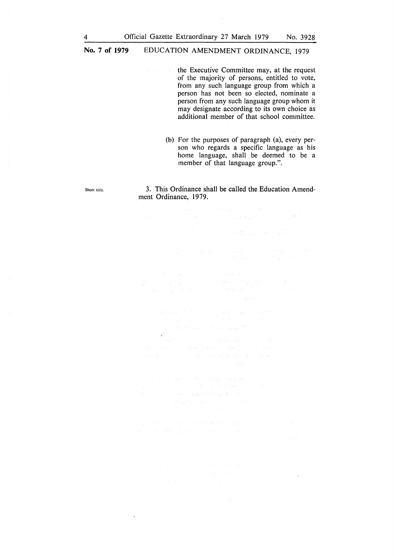#### **No. 7 of 1979**  EDUCATION AMENDMENT ORDINANCE, 1979

the Executive Committee may, at the request **Report Follows** of the majority of persons, entitled to vote, from any such language group from which a person has not been so elected, nominate a person from any such language group whom it may designate according to its own choice as additional member of that school committee.

> (b) For the purposes of paragraph (a), every person who regards a specific language as his home language, shall be deemed to be a member of that language group.".

#### 3. This Ordinance shall be called the Education Amendment Ordinance, 1979.

 $\label{eq:2.1} \begin{split} \mathcal{L}(\mathcal{C}_{\text{in}}^{(1)}) & = \mathcal{L}(\mathcal{C}_{\text{in}}^{(1)}) = \mathcal{L}(\mathcal{C}_{\text{in}}^{(1)}) = \mathcal{L}(\mathcal{C}_{\text{in}}^{(1)}) = \mathcal{L}(\mathcal{C}_{\text{in}}^{(1)}) = \mathcal{L}(\mathcal{C}_{\text{in}}^{(1)}) = \mathcal{L}(\mathcal{C}_{\text{in}}^{(1)}) = \mathcal{L}(\mathcal{C}_{\text{in}}^{(1)}) = \mathcal{L}(\mathcal{C}_{\text{in}}^{(1)}) = \mathcal{L}(\$  $\label{eq:2.1} \begin{split} \mathcal{L}^{(1)}(d,d^2,\alpha,\mu^2) &\stackrel{\text{def}}{=} \mathcal{L}^{(1)}(d^2,\beta^2) \mathcal{L}^{(2)}(d^2,\beta^2) \mathcal{L}^{(2)}(d^2,\beta^2) \\ &\stackrel{\text{def}}{=} \mathcal{L}^{(1)}(d^2,\beta^2) \mathcal{L}^{(1)}(d^2,\beta^2) \mathcal{L}^{(1)}(d^2,\beta^2) \mathcal{L}^{(2)}(d^2,\beta^2) \\ &\stackrel{\text{def}}{=} \mathcal{L}^{(2)}(d^2,\beta$ 

 $\begin{split} \mathcal{L}(\mathcal{F},\mathcal{F},\mathcal{F},\mathcal{F},\mathcal{F},\mathcal{F},\mathcal{F},\mathcal{F},\mathcal{F},\mathcal{F},\mathcal{F},\mathcal{F},\mathcal{F},\mathcal{F},\mathcal{F},\mathcal{F},\mathcal{F},\mathcal{F},\mathcal{F},\mathcal{F},\mathcal{F},\mathcal{F},\mathcal{F},\mathcal{F},\mathcal{F},\mathcal{F},\mathcal{F},\mathcal{F},\mathcal{F},\mathcal{F},\mathcal{F},\mathcal{F},\mathcal{F},\mathcal{F},\mathcal{F$ 

 $\frac{1}{2}$  (see )

 $\sim 10^7$ 

Short title.